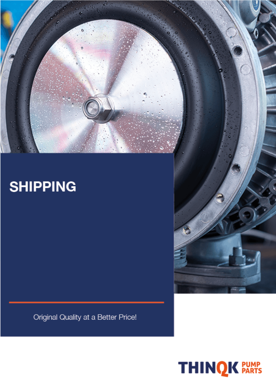## **SHIPPING**

Original Quality at a Better Price!